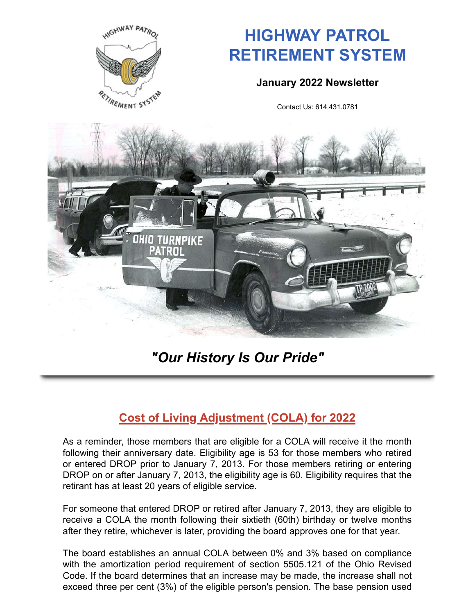

# **HIGHWAY PATROL RETIREMENT SYSTEM**

#### **January 2022 Newsletter**

Contact Us: 614.431.0781



## *"Our History Is Our Pride"*

## **Cost of Living Adjustment (COLA) for 2022**

As a reminder, those members that are eligible for a COLA will receive it the month following their anniversary date. Eligibility age is 53 for those members who retired or entered DROP prior to January 7, 2013. For those members retiring or entering DROP on or after January 7, 2013, the eligibility age is 60. Eligibility requires that the retirant has at least 20 years of eligible service.

For someone that entered DROP or retired after January 7, 2013, they are eligible to receive a COLA the month following their sixtieth (60th) birthday or twelve months after they retire, whichever is later, providing the board approves one for that year.

The board establishes an annual COLA between 0% and 3% based on compliance with the amortization period requirement of section 5505.121 of the Ohio Revised Code. If the board determines that an increase may be made, the increase shall not exceed three per cent (3%) of the eligible person's pension. The base pension used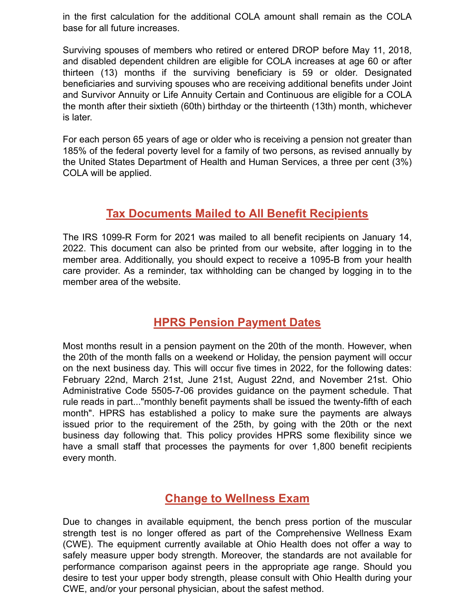in the first calculation for the additional COLA amount shall remain as the COLA base for all future increases.

Surviving spouses of members who retired or entered DROP before May 11, 2018, and disabled dependent children are eligible for COLA increases at age 60 or after thirteen (13) months if the surviving beneficiary is 59 or older. Designated beneficiaries and surviving spouses who are receiving additional benefits under Joint and Survivor Annuity or Life Annuity Certain and Continuous are eligible for a COLA the month after their sixtieth (60th) birthday or the thirteenth (13th) month, whichever is later.

For each person 65 years of age or older who is receiving a pension not greater than 185% of the federal poverty level for a family of two persons, as revised annually by the United States Department of Health and Human Services, a three per cent (3%) COLA will be applied.

### **Tax Documents Mailed to All Benefit Recipients**

The IRS 1099-R Form for 2021 was mailed to all benefit recipients on January 14, 2022. This document can also be printed from our website, after logging in to the member area. Additionally, you should expect to receive a 1095-B from your health care provider. As a reminder, tax withholding can be changed by logging in to the member area of the website.

### **HPRS Pension Payment Dates**

Most months result in a pension payment on the 20th of the month. However, when the 20th of the month falls on a weekend or Holiday, the pension payment will occur on the next business day. This will occur five times in 2022, for the following dates: February 22nd, March 21st, June 21st, August 22nd, and November 21st. Ohio Administrative Code 5505-7-06 provides guidance on the payment schedule. That rule reads in part..."monthly benefit payments shall be issued the twenty-fifth of each month". HPRS has established a policy to make sure the payments are always issued prior to the requirement of the 25th, by going with the 20th or the next business day following that. This policy provides HPRS some flexibility since we have a small staff that processes the payments for over 1,800 benefit recipients every month.

### **Change to Wellness Exam**

Due to changes in available equipment, the bench press portion of the muscular strength test is no longer offered as part of the Comprehensive Wellness Exam (CWE). The equipment currently available at Ohio Health does not offer a way to safely measure upper body strength. Moreover, the standards are not available for performance comparison against peers in the appropriate age range. Should you desire to test your upper body strength, please consult with Ohio Health during your CWE, and/or your personal physician, about the safest method.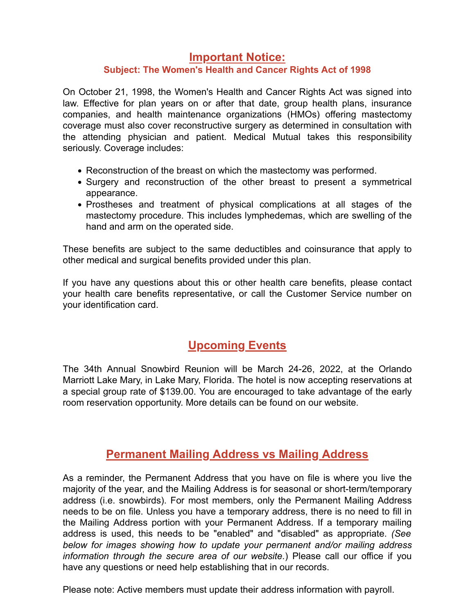#### **Important Notice:**

#### **Subject: The Women's Health and Cancer Rights Act of 1998**

seriously. Coverage includes: the attending physician and patient. Medical Mutual takes this responsibility coverage must also cover reconstructive surgery as determined in consultation with companies, and health maintenance organizations (HMOs) offering mastectomy law. Effective for plan years on or after that date, group health plans, insurance On October 21, 1998, the Women's Health and Cancer Rights Act was signed into

- Reconstruction of the breast on which the mastectomy was performed.
- appearance. • Surgery and reconstruction of the other breast to present a symmetrical
- hand and arm on the operated side. mastectomy procedure. This includes lymphedemas, which are swelling of the Prostheses and treatment of physical complications at all stages of the

other medical and surgical benefits provided under this plan. These benefits are subject to the same deductibles and coinsurance that apply to

your identification card. your health care benefits representative, or call the Customer Service number on If you have any questions about this or other health care benefits, please contact

### **Upcoming Events**

The 34th Annual Snowbird Reunion will be March 24-26, 2022, at the Orlando Marriott Lake Mary, in Lake Mary, Florida. The hotel is now accepting reservations at a special group rate of \$139.00. You are encouraged to take advantage of the early room reservation opportunity. More details can be found on our website.

### **Permanent Mailing Address vs Mailing Address**

As a reminder, the Permanent Address that you have on file is where you live the majority of the year, and the Mailing Address is for seasonal or short-term/temporary address (i.e. snowbirds). For most members, only the Permanent Mailing Address needs to be on file. Unless you have a temporary address, there is no need to fill in the Mailing Address portion with your Permanent Address. If a temporary mailing address is used, this needs to be "enabled" and "disabled" as appropriate. *(See below for images showing how to update your permanent and/or mailing address information through the secure area of our website.*) Please call our office if you have any questions or need help establishing that in our records.

Please note: Active members must update their address information with payroll.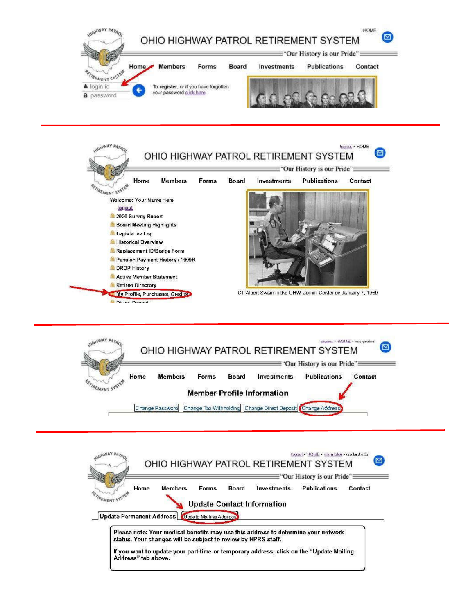





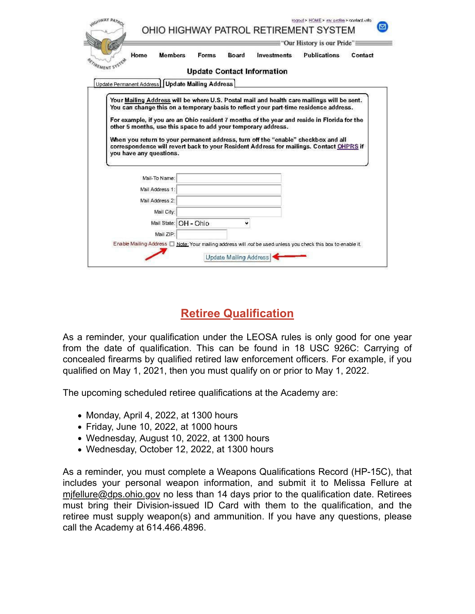| Home                                                                                                               | <b>Members</b> | Forms | Board | <b>Investments</b>                | <b>Publications</b> | Contact |
|--------------------------------------------------------------------------------------------------------------------|----------------|-------|-------|-----------------------------------|---------------------|---------|
| REMENT SYSTE                                                                                                       |                |       |       | <b>Update Contact Information</b> |                     |         |
| Update Permanent Address   Update Mailing Address                                                                  |                |       |       |                                   |                     |         |
| Your Mailing Address will be where U.S. Postal mail and health care mailings will be sent.                         |                |       |       |                                   |                     |         |
| You can change this on a temporary basis to reflect your part-time residence address.                              |                |       |       |                                   |                     |         |
|                                                                                                                    |                |       |       |                                   |                     |         |
|                                                                                                                    |                |       |       |                                   |                     |         |
| For example, if you are an Ohio resident 7 months of the year and reside in Florida for the                        |                |       |       |                                   |                     |         |
| other 5 months, use this space to add your temporary address.                                                      |                |       |       |                                   |                     |         |
| When you return to your permanent address, turn off the "enable" checkbox and all                                  |                |       |       |                                   |                     |         |
| correspondence will revert back to your Resident Address for mailings. Contact OHPRS if<br>you have any questions. |                |       |       |                                   |                     |         |
|                                                                                                                    |                |       |       |                                   |                     |         |
|                                                                                                                    |                |       |       |                                   |                     |         |
| Mail-To Name:                                                                                                      |                |       |       |                                   |                     |         |
| Mail Address 1:                                                                                                    |                |       |       |                                   |                     |         |
| Mail Address 2:                                                                                                    |                |       |       |                                   |                     |         |
| Mail City:                                                                                                         |                |       |       |                                   |                     |         |
| Mail State:                                                                                                        | OH - Ohio      |       | v     |                                   |                     |         |

## **Retiree Qualification**

As a reminder, your qualification under the LEOSA rules is only good for one year from the date of qualification. This can be found in 18 USC 926C: Carrying of concealed firearms by qualified retired law enforcement officers. For example, if you qualified on May 1, 2021, then you must qualify on or prior to May 1, 2022.

The upcoming scheduled retiree qualifications at the Academy are:

- Monday, April 4, 2022, at 1300 hours
- Friday, June 10, 2022, at 1000 hours
- Wednesday, August 10, 2022, at 1300 hours
- Wednesday, October 12, 2022, at 1300 hours

As a reminder, you must complete a Weapons Qualifications Record (HP-15C), that includes your personal weapon information, and submit it to Melissa Fellure at mjfellure@dps.ohio.gov no less than 14 days prior to the qualification date. Retirees must bring their Division-issued ID Card with them to the qualification, and the retiree must supply weapon(s) and ammunition. If you have any questions, please call the Academy at 614.466.4896.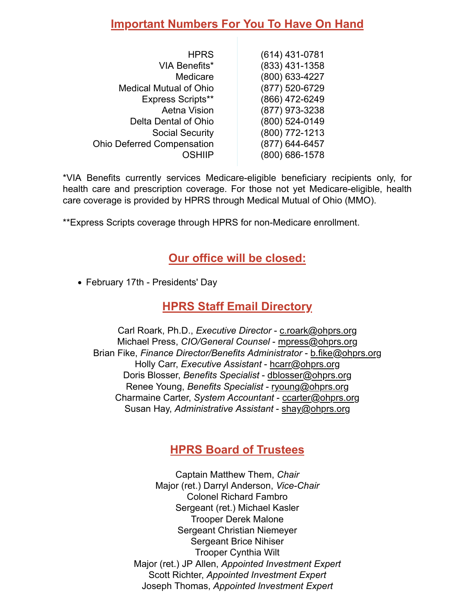### **Important Numbers For You To Have On Hand**

| <b>HPRS</b>                       | (614) 431-0781 |
|-----------------------------------|----------------|
| <b>VIA Benefits*</b>              | (833) 431-1358 |
| Medicare                          | (800) 633-4227 |
| <b>Medical Mutual of Ohio</b>     | (877) 520-6729 |
| <b>Express Scripts**</b>          | (866) 472-6249 |
| <b>Aetna Vision</b>               | (877) 973-3238 |
| Delta Dental of Ohio              | (800) 524-0149 |
| <b>Social Security</b>            | (800) 772-1213 |
| <b>Ohio Deferred Compensation</b> | (877) 644-6457 |
| OSHIIP                            | (800) 686-1578 |

\*VIA Benefits currently services Medicare-eligible beneficiary recipients only, for health care and prescription coverage. For those not yet Medicare-eligible, health care coverage is provided by HPRS through Medical Mutual of Ohio (MMO).

\*\*Express Scripts coverage through HPRS for non-Medicare enrollment.

### **Our office will be closed:**

• February 17th - Presidents' Day

#### **HPRS Staff Email Directory**

Carl Roark, Ph.D., *Executive Director* - c.roark@ohprs.org Michael Press, *CIO/General Counsel* - mpress@ohprs.org Brian Fike, *Finance Director/Benefits Administrator* - b.fike@ohprs.org Holly Carr, *Executive Assistant* - hcarr@ohprs.org Doris Blosser, *Benefits Specialist* - dblosser@ohprs.org Renee Young, *Benefits Specialist* - ryoung@ohprs.org Charmaine Carter, *System Accountant* - ccarter@ohprs.org Susan Hay, *Administrative Assistant* - shay@ohprs.org

### **HPRS Board of Trustees**

Captain Matthew Them, *Chair* Major (ret.) Darryl Anderson, *Vice-Chair* Colonel Richard Fambro Sergeant (ret.) Michael Kasler Trooper Derek Malone Sergeant Christian Niemeyer Sergeant Brice Nihiser Trooper Cynthia Wilt Major (ret.) JP Allen, *Appointed Investment Expert* Scott Richter, *Appointed Investment Expert* Joseph Thomas, *Appointed Investment Expert*